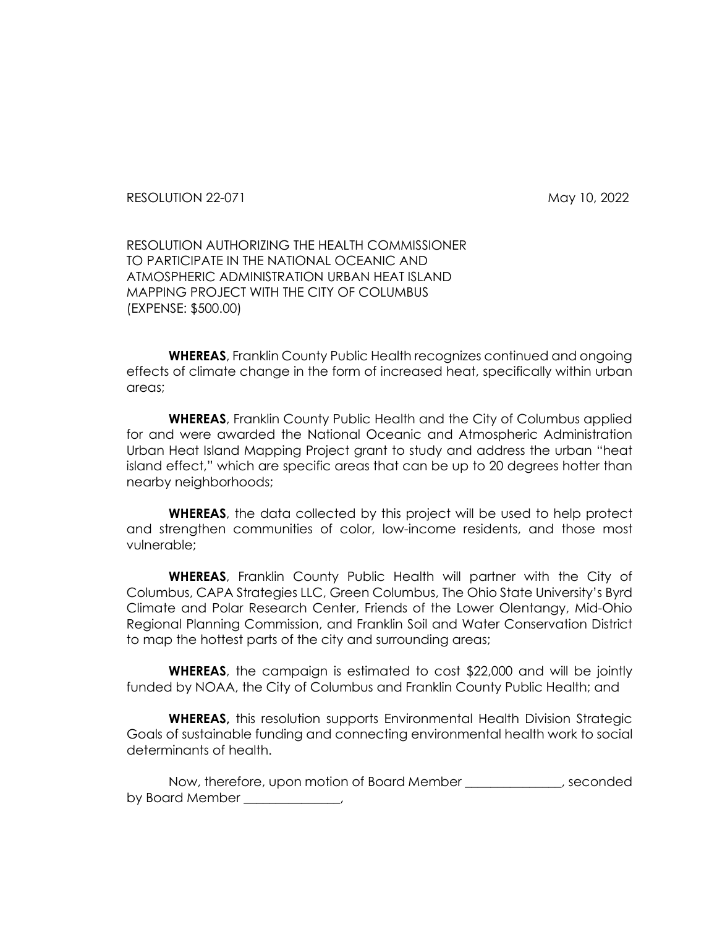RESOLUTION 22-071 May 10, 2022

RESOLUTION AUTHORIZING THE HEALTH COMMISSIONER TO PARTICIPATE IN THE NATIONAL OCEANIC AND ATMOSPHERIC ADMINISTRATION URBAN HEAT ISLAND MAPPING PROJECT WITH THE CITY OF COLUMBUS (EXPENSE: \$500.00)

**WHEREAS**, Franklin County Public Health recognizes continued and ongoing effects of climate change in the form of increased heat, specifically within urban areas;

**WHEREAS**, Franklin County Public Health and the City of Columbus applied for and were awarded the National Oceanic and Atmospheric Administration Urban Heat Island Mapping Project grant to study and address the urban "heat island effect," which are specific areas that can be up to 20 degrees hotter than nearby neighborhoods;

**WHEREAS**, the data collected by this project will be used to help protect and strengthen communities of color, low-income residents, and those most vulnerable;

**WHEREAS**, Franklin County Public Health will partner with the City of Columbus, CAPA Strategies LLC, Green Columbus, The Ohio State University's Byrd Climate and Polar Research Center, Friends of the Lower Olentangy, Mid-Ohio Regional Planning Commission, and Franklin Soil and Water Conservation District to map the hottest parts of the city and surrounding areas;

**WHEREAS**, the campaign is estimated to cost \$22,000 and will be jointly funded by NOAA, the City of Columbus and Franklin County Public Health; and

**WHEREAS,** this resolution supports Environmental Health Division Strategic Goals of sustainable funding and connecting environmental health work to social determinants of health.

Now, therefore, upon motion of Board Member \_\_\_\_\_\_\_\_\_\_\_\_\_\_\_, seconded by Board Member \_\_\_\_\_\_\_\_\_\_\_,